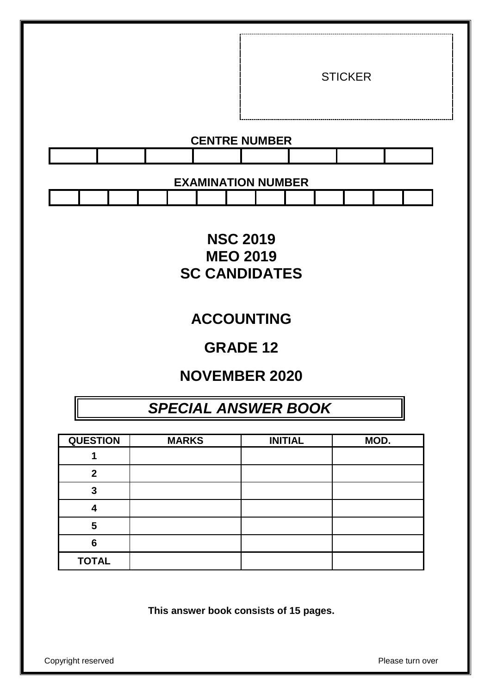|  |                           |  | <b>STICKER</b> |  |
|--|---------------------------|--|----------------|--|
|  | <b>CENTRE NUMBER</b>      |  |                |  |
|  |                           |  |                |  |
|  | <b>EXAMINATION NUMBER</b> |  |                |  |

## **NSC 2019 MEO 2019 SC CANDIDATES**

## **ACCOUNTING**

## **GRADE 12**

## **NOVEMBER 2020**

## *SPECIAL ANSWER BOOK*

| <b>QUESTION</b> | <b>MARKS</b> | <b>INITIAL</b> | MOD. |
|-----------------|--------------|----------------|------|
|                 |              |                |      |
| າ               |              |                |      |
| 3               |              |                |      |
|                 |              |                |      |
| 5               |              |                |      |
| 6               |              |                |      |
| <b>TOTAL</b>    |              |                |      |

**This answer book consists of 15 pages.**

Copyright reserved **Please** turn over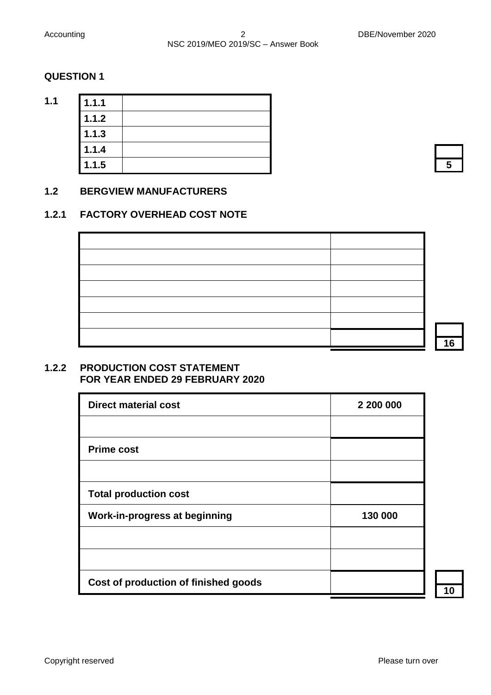**1.1 1.1.1**

#### **QUESTION 1**

| 1.1.1 |  |
|-------|--|
| 1.1.2 |  |
| 1.1.3 |  |
| 1.1.4 |  |
| 1.1.5 |  |

## **5**

#### **1.2 BERGVIEW MANUFACTURERS**

#### **1.2.1 FACTORY OVERHEAD COST NOTE**

**16**

#### **1.2.2 PRODUCTION COST STATEMENT FOR YEAR ENDED 29 FEBRUARY 2020**

| <b>Direct material cost</b>          | 2 200 000 |
|--------------------------------------|-----------|
|                                      |           |
| <b>Prime cost</b>                    |           |
|                                      |           |
| <b>Total production cost</b>         |           |
| <b>Work-in-progress at beginning</b> | 130 000   |
|                                      |           |
|                                      |           |
| Cost of production of finished goods |           |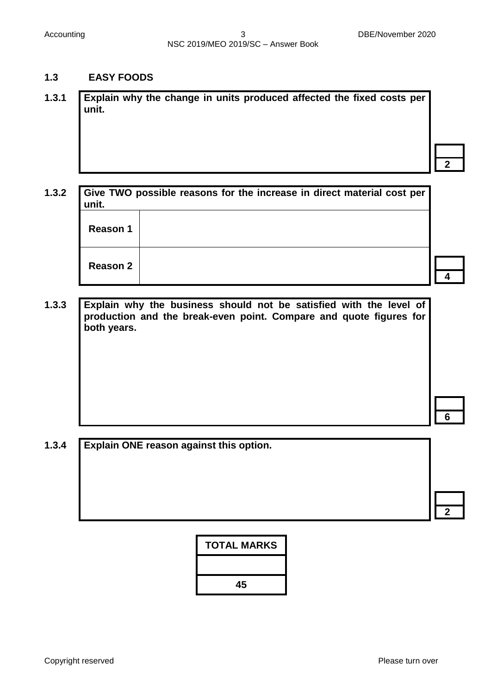#### **1.3 EASY FOODS**

**1.3.1 Explain why the change in units produced affected the fixed costs per unit.**

**1.3.2 Give TWO possible reasons for the increase in direct material cost per unit. 4 Reason 1 Reason 2**

**1.3.3 Explain why the business should not be satisfied with the level of production and the break-even point. Compare and quote figures for both years.**

**6**

**2**

**1.3.4 Explain ONE reason against this option. 2**

| <b>TOTAL MARKS</b> |
|--------------------|
|                    |
| 45                 |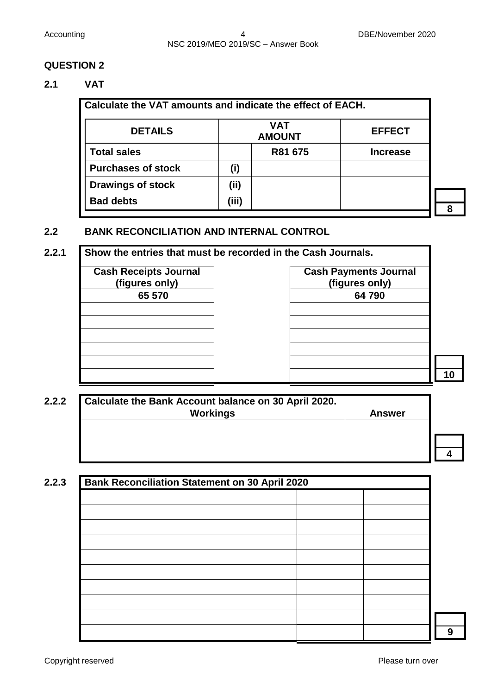#### **2.1 VAT**

| Calculate the VAT amounts and indicate the effect of EACH. |       |                             |                 |  |
|------------------------------------------------------------|-------|-----------------------------|-----------------|--|
| <b>DETAILS</b>                                             |       | <b>VAT</b><br><b>AMOUNT</b> | <b>EFFECT</b>   |  |
| <b>Total sales</b>                                         |       | R81 675                     | <b>Increase</b> |  |
| <b>Purchases of stock</b>                                  | (i)   |                             |                 |  |
| <b>Drawings of stock</b>                                   | (ii)  |                             |                 |  |
| <b>Bad debts</b>                                           | (iii) |                             |                 |  |

**8**

#### **2.2 BANK RECONCILIATION AND INTERNAL CONTROL**

## **2.2.1 Show the entries that must be recorded in the Cash Journals.**

| <b>Cash Receipts Journal</b><br>(figures only) | <b>Cash Payments J</b><br>(figures only |  |  |
|------------------------------------------------|-----------------------------------------|--|--|
| 65 570                                         | 64790                                   |  |  |
|                                                |                                         |  |  |
|                                                |                                         |  |  |
|                                                |                                         |  |  |
|                                                |                                         |  |  |
|                                                |                                         |  |  |

| <b>Cash Payments Journal</b> |
|------------------------------|
| (figures only)               |
| 64790                        |
|                              |
|                              |
|                              |
|                              |
|                              |
|                              |
|                              |

**10**

| <b>Workings</b><br><b>Answer</b> |
|----------------------------------|
|                                  |
|                                  |
|                                  |
|                                  |
|                                  |
|                                  |

| <b>Bank Reconciliation Statement on 30 April 2020</b> |  |  |  |
|-------------------------------------------------------|--|--|--|
|                                                       |  |  |  |
|                                                       |  |  |  |
|                                                       |  |  |  |
|                                                       |  |  |  |
|                                                       |  |  |  |
|                                                       |  |  |  |
|                                                       |  |  |  |
|                                                       |  |  |  |
|                                                       |  |  |  |
|                                                       |  |  |  |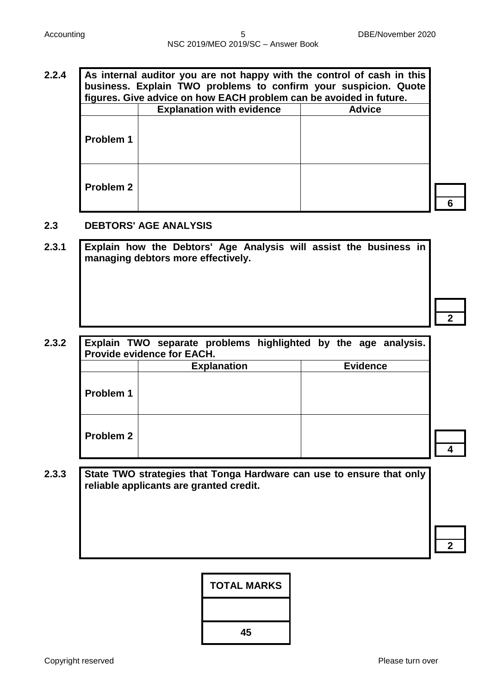## **2.2.4 As internal auditor you are not happy with the control of cash in this business. Explain TWO problems to confirm your suspicion. Quote figures. Give advice on how EACH problem can be avoided in future. Explanation with evidence Problem 1 Problem 2**

#### **2.3 DEBTORS' AGE ANALYSIS**

**2.3.1 Explain how the Debtors' Age Analysis will assist the business in managing debtors more effectively.**

# **2.3.2 Explain TWO separate problems highlighted by the age analysis. Provide evidence for EACH. Explanation Evidence Problem 1 Problem 2**

#### **2.3.3 State TWO strategies that Tonga Hardware can use to ensure that only reliable applicants are granted credit.**

**2**

**4**

| <b>TOTAL MARKS</b> |
|--------------------|
|                    |
| 45                 |

**2**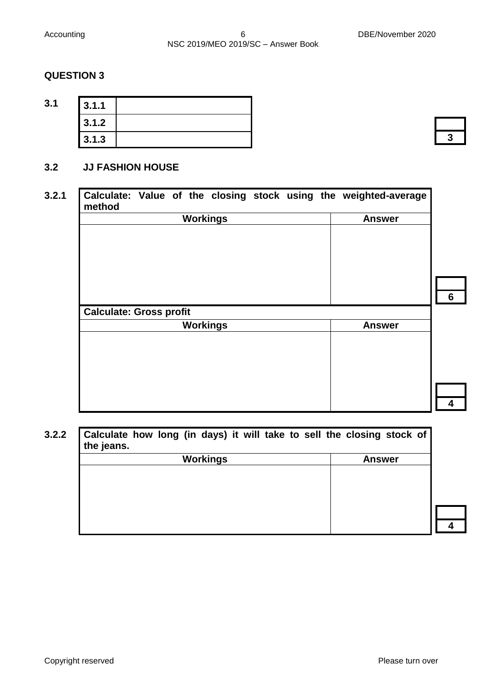| 3.1 | 3.1.1 |  |
|-----|-------|--|
|     | 3.1.2 |  |
|     | 3.1.3 |  |

#### **3.2 JJ FASHION HOUSE**

# **3.2.1 Calculate: Value of the closing stock using the weighted-average method 6 Workings Answer Calculate: Gross profit 4 Workings Answer**

**3.2.2 Calculate how long (in days) it will take to sell the closing stock of the jeans. Workings Answer**

**3**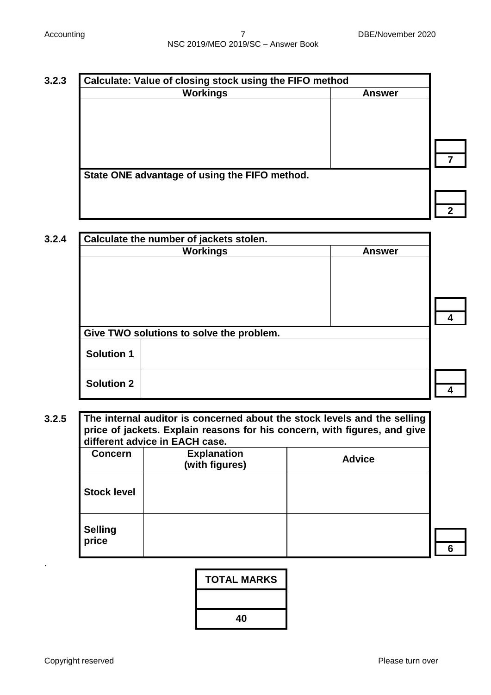| State ONE advantage of using the FIFO method. |  |
|-----------------------------------------------|--|
|                                               |  |

| 3.2.4 | Calculate the number of jackets stolen.  |               |  |
|-------|------------------------------------------|---------------|--|
|       | <b>Workings</b>                          | <b>Answer</b> |  |
|       |                                          |               |  |
|       |                                          |               |  |
|       |                                          |               |  |
|       | Give TWO solutions to solve the problem. |               |  |
|       | <b>Solution 1</b>                        |               |  |
|       | <b>Solution 2</b>                        |               |  |
|       |                                          |               |  |

**3.2.5 The internal auditor is concerned about the stock levels and the selling price of jackets. Explain reasons for his concern, with figures, and give different advice in EACH case.**

| <b>Concern</b>          | <b>Explanation</b><br>(with figures) | <b>Advice</b> |
|-------------------------|--------------------------------------|---------------|
| <b>Stock level</b>      |                                      |               |
| <b>Selling</b><br>price |                                      |               |



.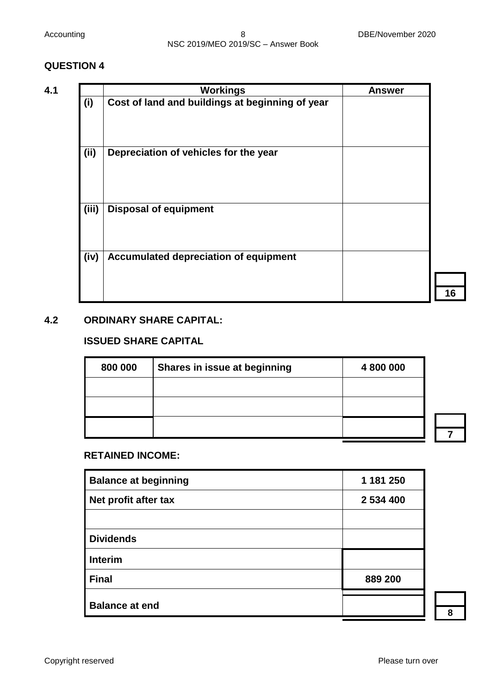|       | <b>Workings</b>                                 | <b>Answer</b> |
|-------|-------------------------------------------------|---------------|
| (i)   | Cost of land and buildings at beginning of year |               |
| (i)   | Depreciation of vehicles for the year           |               |
| (iii) | <b>Disposal of equipment</b>                    |               |
| (iv)  | Accumulated depreciation of equipment           |               |

#### **4.2 ORDINARY SHARE CAPITAL:**

#### **ISSUED SHARE CAPITAL**

| 800 000 | Shares in issue at beginning | 4 800 000 |  |
|---------|------------------------------|-----------|--|
|         |                              |           |  |
|         |                              |           |  |
|         |                              |           |  |
|         |                              |           |  |

#### **RETAINED INCOME:**

| <b>Balance at beginning</b> | 1 181 250 |
|-----------------------------|-----------|
| Net profit after tax        | 2 534 400 |
|                             |           |
| <b>Dividends</b>            |           |
| <b>Interim</b>              |           |
| <b>Final</b>                | 889 200   |
| <b>Balance at end</b>       |           |

**8**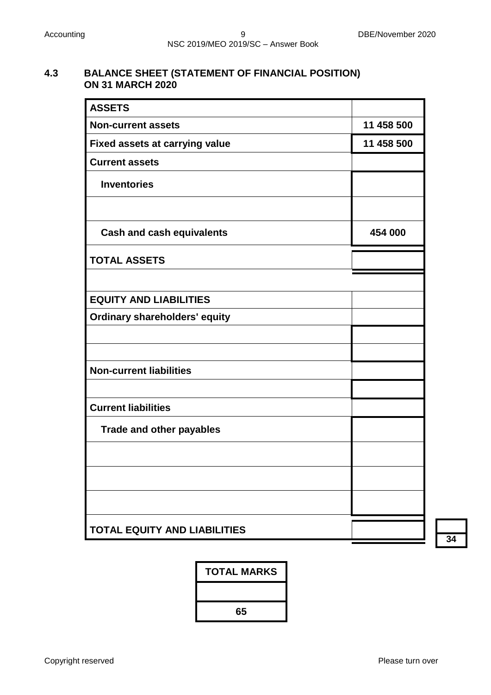#### **4.3 BALANCE SHEET (STATEMENT OF FINANCIAL POSITION) ON 31 MARCH 2020**

| <b>ASSETS</b>                         |            |
|---------------------------------------|------------|
| <b>Non-current assets</b>             | 11 458 500 |
| <b>Fixed assets at carrying value</b> | 11 458 500 |
| <b>Current assets</b>                 |            |
| <b>Inventories</b>                    |            |
|                                       |            |
| <b>Cash and cash equivalents</b>      | 454 000    |
| <b>TOTAL ASSETS</b>                   |            |
|                                       |            |
| <b>EQUITY AND LIABILITIES</b>         |            |
| <b>Ordinary shareholders' equity</b>  |            |
|                                       |            |
|                                       |            |
| <b>Non-current liabilities</b>        |            |
|                                       |            |
| <b>Current liabilities</b>            |            |
| <b>Trade and other payables</b>       |            |
|                                       |            |
|                                       |            |
|                                       |            |
| <b>TOTAL EQUITY AND LIABILITIES</b>   |            |

**34**

| <b>TOTAL MARKS</b> |
|--------------------|
|                    |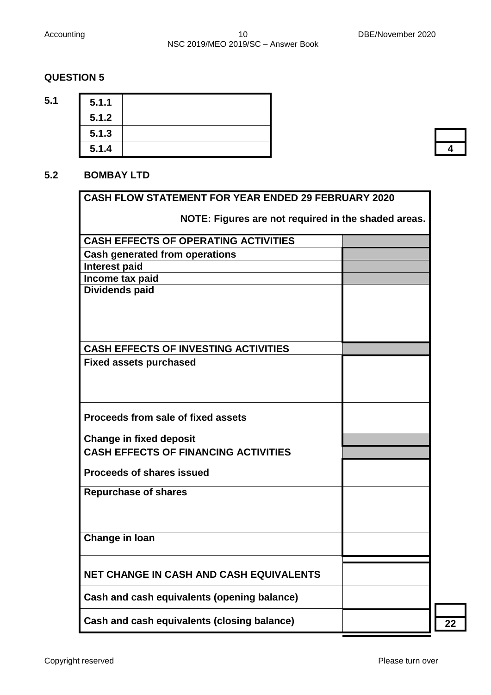**5.1 5.1.1**

#### **QUESTION 5**

| 5.1.1 |  |
|-------|--|
| 5.1.2 |  |
| 5.1.3 |  |
| 5.1.4 |  |
|       |  |

## **4**

#### **5.2 BOMBAY LTD**

|                                                     | <b>CASH FLOW STATEMENT FOR YEAR ENDED 29 FEBRUARY 2020</b> |  |
|-----------------------------------------------------|------------------------------------------------------------|--|
| NOTE: Figures are not required in the shaded areas. |                                                            |  |
| <b>CASH EFFECTS OF OPERATING ACTIVITIES</b>         |                                                            |  |
| <b>Cash generated from operations</b>               |                                                            |  |
| <b>Interest paid</b>                                |                                                            |  |
| Income tax paid                                     |                                                            |  |
| Dividends paid                                      |                                                            |  |
| <b>CASH EFFECTS OF INVESTING ACTIVITIES</b>         |                                                            |  |
| <b>Fixed assets purchased</b>                       |                                                            |  |
| Proceeds from sale of fixed assets                  |                                                            |  |
| <b>Change in fixed deposit</b>                      |                                                            |  |
| <b>CASH EFFECTS OF FINANCING ACTIVITIES</b>         |                                                            |  |
| <b>Proceeds of shares issued</b>                    |                                                            |  |
| <b>Repurchase of shares</b>                         |                                                            |  |
| Change in Ioan                                      |                                                            |  |
| <b>NET CHANGE IN CASH AND CASH EQUIVALENTS</b>      |                                                            |  |
| Cash and cash equivalents (opening balance)         |                                                            |  |
| Cash and cash equivalents (closing balance)         |                                                            |  |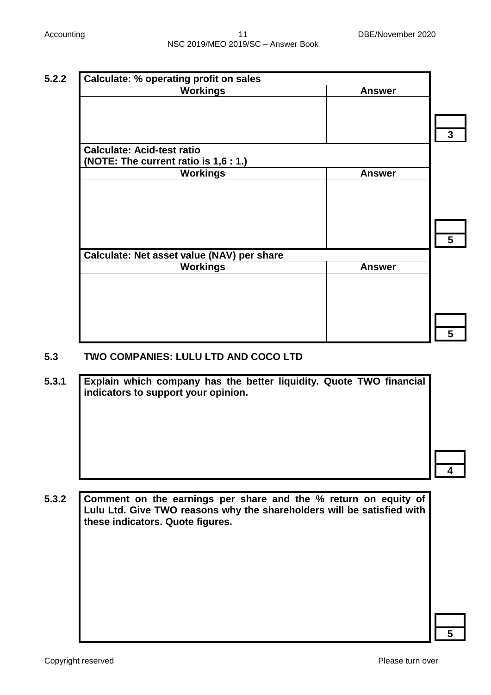| <b>Calculate: % operating profit on sales</b> |               |
|-----------------------------------------------|---------------|
| <b>Workings</b>                               | <b>Answer</b> |
|                                               |               |
|                                               |               |
|                                               |               |
| <b>Calculate: Acid-test ratio</b>             |               |
| (NOTE: The current ratio is 1,6 : 1.)         |               |
| <b>Workings</b>                               | <b>Answer</b> |
|                                               |               |
|                                               |               |
|                                               |               |
|                                               |               |
|                                               |               |
| Calculate: Net asset value (NAV) per share    |               |
| <b>Workings</b>                               | <b>Answer</b> |
|                                               |               |
|                                               |               |
|                                               |               |
|                                               |               |
|                                               |               |

#### **5.3 TWO COMPANIES: LULU LTD AND COCO LTD**

**5.3.1 Explain which company has the better liquidity. Quote TWO financial indicators to support your opinion.** 

**5.3.2 Comment on the earnings per share and the % return on equity of Lulu Ltd. Give TWO reasons why the shareholders will be satisfied with these indicators. Quote figures.**

**5**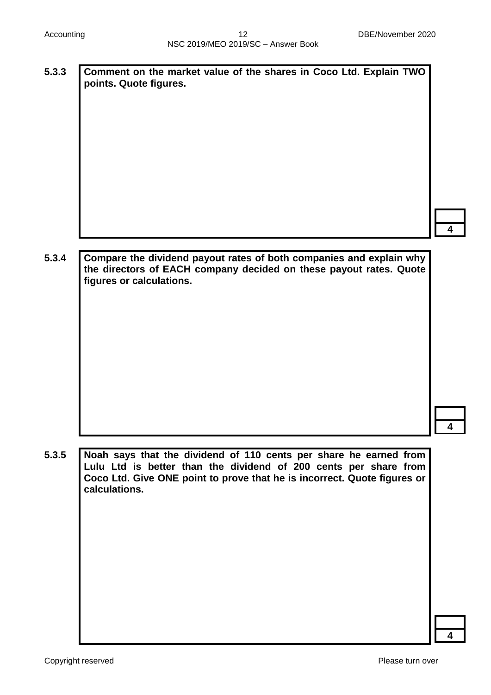**5.3.3 Comment on the market value of the shares in Coco Ltd. Explain TWO points. Quote figures.**

**4**

**5.3.4 Compare the dividend payout rates of both companies and explain why the directors of EACH company decided on these payout rates. Quote figures or calculations.**

**4**

**5.3.5 Noah says that the dividend of 110 cents per share he earned from Lulu Ltd is better than the dividend of 200 cents per share from Coco Ltd. Give ONE point to prove that he is incorrect. Quote figures or calculations.**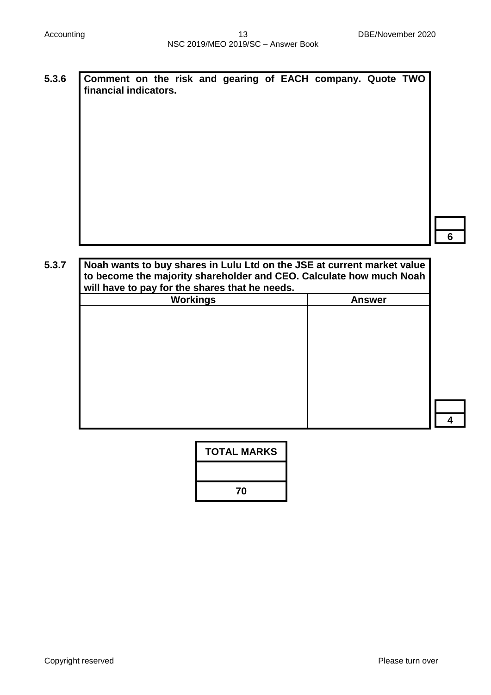**5.3.6 Comment on the risk and gearing of EACH company. Quote TWO financial indicators.**

**6**

**4**

**5.3.7 Noah wants to buy shares in Lulu Ltd on the JSE at current market value to become the majority shareholder and CEO. Calculate how much Noah will have to pay for the shares that he needs. Workings Answer**

| <b>TOTAL MARKS</b> |
|--------------------|
|                    |
| 70                 |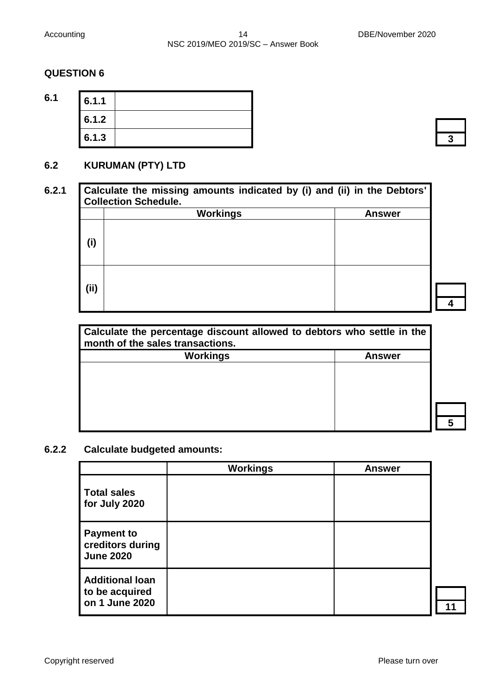| 6.1 | 6.1.1 |  |
|-----|-------|--|
|     | 6.1.2 |  |
|     | 6.1.3 |  |

#### **6.2 KURUMAN (PTY) LTD**

|       | <b>Workings</b> | <b>Answer</b> |
|-------|-----------------|---------------|
| (i)   |                 |               |
| (iii) |                 |               |

| Calculate the percentage discount allowed to debtors who settle in the<br>month of the sales transactions. |        |
|------------------------------------------------------------------------------------------------------------|--------|
| <b>Workings</b>                                                                                            | Answer |
|                                                                                                            |        |
|                                                                                                            |        |
|                                                                                                            |        |
|                                                                                                            |        |
|                                                                                                            |        |
|                                                                                                            |        |

## **6.2.2 Calculate budgeted amounts:**

|                                                            | <b>Workings</b> | <b>Answer</b> |
|------------------------------------------------------------|-----------------|---------------|
| <b>Total sales</b><br>for July 2020                        |                 |               |
| <b>Payment to</b><br>creditors during<br><b>June 2020</b>  |                 |               |
| <b>Additional loan</b><br>to be acquired<br>on 1 June 2020 |                 |               |

**4**

**5**

**11**